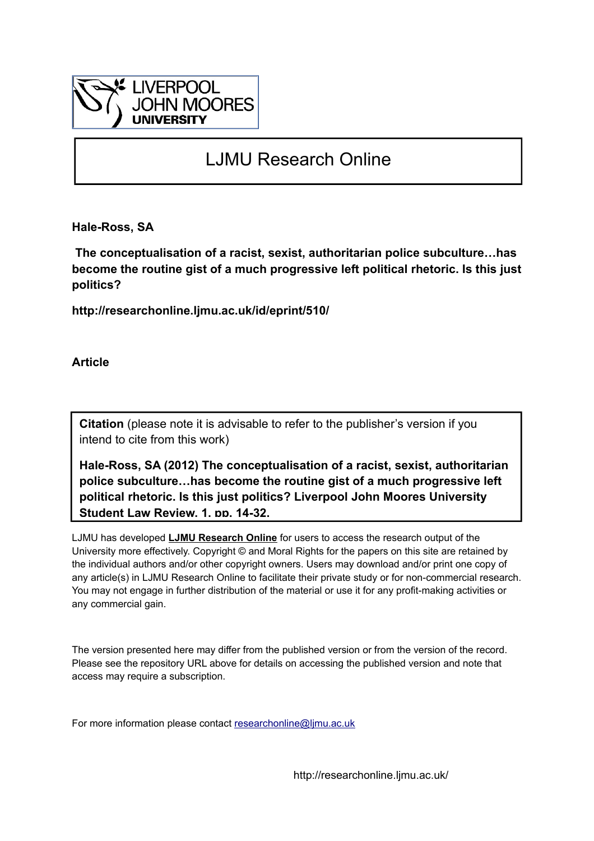

## LJMU Research Online

**Hale-Ross, SA**

 **The conceptualisation of a racist, sexist, authoritarian police subculture…has become the routine gist of a much progressive left political rhetoric. Is this just politics?**

**http://researchonline.ljmu.ac.uk/id/eprint/510/**

**Article**

**Citation** (please note it is advisable to refer to the publisher's version if you intend to cite from this work)

**Hale-Ross, SA (2012) The conceptualisation of a racist, sexist, authoritarian police subculture…has become the routine gist of a much progressive left political rhetoric. Is this just politics? Liverpool John Moores University Student Law Review, 1. pp. 14-32.** 

LJMU has developed **[LJMU Research Online](http://researchonline.ljmu.ac.uk/)** for users to access the research output of the University more effectively. Copyright © and Moral Rights for the papers on this site are retained by the individual authors and/or other copyright owners. Users may download and/or print one copy of any article(s) in LJMU Research Online to facilitate their private study or for non-commercial research. You may not engage in further distribution of the material or use it for any profit-making activities or any commercial gain.

The version presented here may differ from the published version or from the version of the record. Please see the repository URL above for details on accessing the published version and note that access may require a subscription.

For more information please contact researchonline@limu.ac.uk

http://researchonline.ljmu.ac.uk/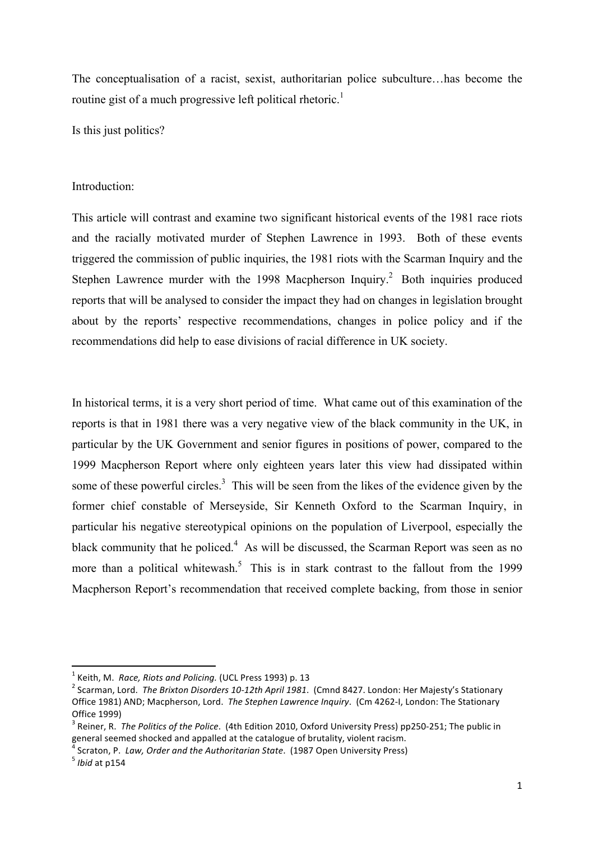The conceptualisation of a racist, sexist, authoritarian police subculture…has become the routine gist of a much progressive left political rhetoric.<sup>1</sup>

Is this just politics?

## Introduction:

This article will contrast and examine two significant historical events of the 1981 race riots and the racially motivated murder of Stephen Lawrence in 1993. Both of these events triggered the commission of public inquiries, the 1981 riots with the Scarman Inquiry and the Stephen Lawrence murder with the 1998 Macpherson Inquiry.<sup>2</sup> Both inquiries produced reports that will be analysed to consider the impact they had on changes in legislation brought about by the reports' respective recommendations, changes in police policy and if the recommendations did help to ease divisions of racial difference in UK society.

In historical terms, it is a very short period of time. What came out of this examination of the reports is that in 1981 there was a very negative view of the black community in the UK, in particular by the UK Government and senior figures in positions of power, compared to the 1999 Macpherson Report where only eighteen years later this view had dissipated within some of these powerful circles.<sup>3</sup> This will be seen from the likes of the evidence given by the former chief constable of Merseyside, Sir Kenneth Oxford to the Scarman Inquiry, in particular his negative stereotypical opinions on the population of Liverpool, especially the black community that he policed. $4$  As will be discussed, the Scarman Report was seen as no more than a political whitewash.<sup>5</sup> This is in stark contrast to the fallout from the 1999 Macpherson Report's recommendation that received complete backing, from those in senior

<sup>&</sup>lt;sup>1</sup> Keith, M. *Race, Riots and Policing.* (UCL Press 1993) p. 13<br><sup>2</sup> Scarman, Lord. *The Brixton Disorders 10-12th April 1981*. (Cmnd 8427. London: Her Majesty's Stationary Office 1981) AND; Macpherson, Lord. The Stephen Lawrence Inquiry. (Cm 4262-I, London: The Stationary Office 1999)

<sup>&</sup>lt;sup>3</sup> Reiner, R. *The Politics of the Police*. (4th Edition 2010, Oxford University Press) pp250-251; The public in general seemed shocked and appalled at the catalogue of brutality, violent racism.

<sup>&</sup>lt;sup> $\bar{a}$ </sup> Scraton, P. *Law, Order and the Authoritarian State*. (1987 Open University Press) 5 *Ibid* at p154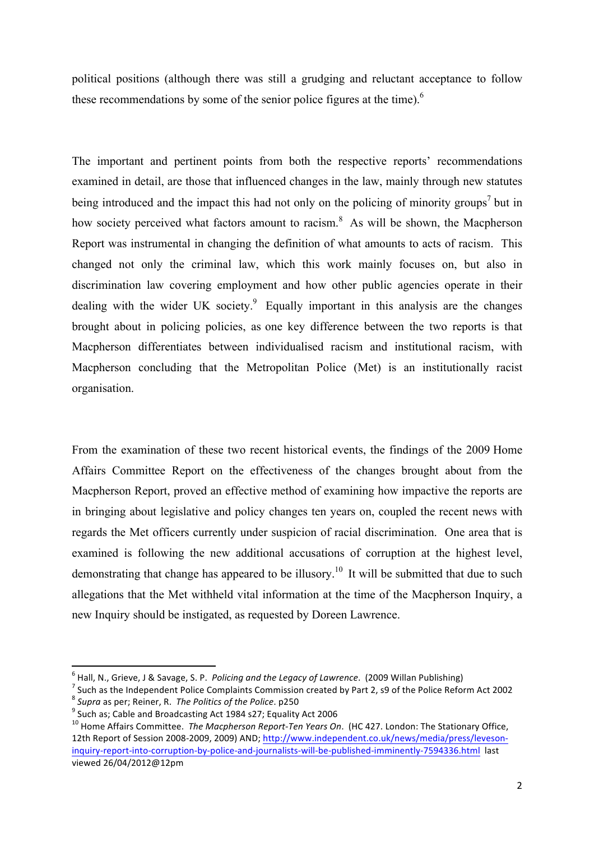political positions (although there was still a grudging and reluctant acceptance to follow these recommendations by some of the senior police figures at the time).<sup>6</sup>

The important and pertinent points from both the respective reports' recommendations examined in detail, are those that influenced changes in the law, mainly through new statutes being introduced and the impact this had not only on the policing of minority groups<sup>7</sup> but in how society perceived what factors amount to racism.<sup>8</sup> As will be shown, the Macpherson Report was instrumental in changing the definition of what amounts to acts of racism. This changed not only the criminal law, which this work mainly focuses on, but also in discrimination law covering employment and how other public agencies operate in their dealing with the wider UK society. $9$  Equally important in this analysis are the changes brought about in policing policies, as one key difference between the two reports is that Macpherson differentiates between individualised racism and institutional racism, with Macpherson concluding that the Metropolitan Police (Met) is an institutionally racist organisation.

From the examination of these two recent historical events, the findings of the 2009 Home Affairs Committee Report on the effectiveness of the changes brought about from the Macpherson Report, proved an effective method of examining how impactive the reports are in bringing about legislative and policy changes ten years on, coupled the recent news with regards the Met officers currently under suspicion of racial discrimination. One area that is examined is following the new additional accusations of corruption at the highest level, demonstrating that change has appeared to be illusory.<sup>10</sup> It will be submitted that due to such allegations that the Met withheld vital information at the time of the Macpherson Inquiry, a new Inquiry should be instigated, as requested by Doreen Lawrence.

 $6$  Hall, N., Grieve, J & Savage, S. P. Policing and the Legacy of Lawrence. (2009 Willan Publishing)

<sup>&</sup>lt;sup>7</sup> Such as the Independent Police Complaints Commission created by Part 2, s9 of the Police Reform Act 2002 <br><sup>8</sup> Supra as per; Reiner, R. *The Politics of the Police*. p250

<sup>&</sup>lt;sup>9</sup> Such as; Cable and Broadcasting Act 1984 s27; Equality Act 2006<br><sup>10</sup> Home Affairs Committee. *The Macpherson Report-Ten Years On*. (HC 427. London: The Stationary Office, 12th Report of Session 2008-2009, 2009) AND; http://www.independent.co.uk/news/media/press/levesoninquiry-report-into-corruption-by-police-and-journalists-will-be-published-imminently-7594336.html last viewed 26/04/2012@12pm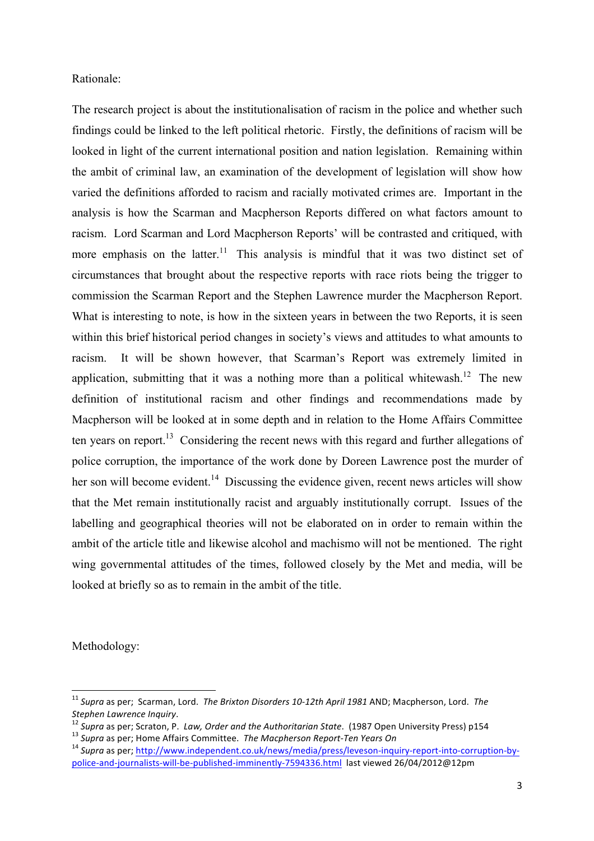Rationale:

The research project is about the institutionalisation of racism in the police and whether such findings could be linked to the left political rhetoric. Firstly, the definitions of racism will be looked in light of the current international position and nation legislation. Remaining within the ambit of criminal law, an examination of the development of legislation will show how varied the definitions afforded to racism and racially motivated crimes are. Important in the analysis is how the Scarman and Macpherson Reports differed on what factors amount to racism. Lord Scarman and Lord Macpherson Reports' will be contrasted and critiqued, with more emphasis on the latter.<sup>11</sup> This analysis is mindful that it was two distinct set of circumstances that brought about the respective reports with race riots being the trigger to commission the Scarman Report and the Stephen Lawrence murder the Macpherson Report. What is interesting to note, is how in the sixteen years in between the two Reports, it is seen within this brief historical period changes in society's views and attitudes to what amounts to racism. It will be shown however, that Scarman's Report was extremely limited in application, submitting that it was a nothing more than a political whitewash.<sup>12</sup> The new definition of institutional racism and other findings and recommendations made by Macpherson will be looked at in some depth and in relation to the Home Affairs Committee ten years on report.<sup>13</sup> Considering the recent news with this regard and further allegations of police corruption, the importance of the work done by Doreen Lawrence post the murder of her son will become evident.<sup>14</sup> Discussing the evidence given, recent news articles will show that the Met remain institutionally racist and arguably institutionally corrupt. Issues of the labelling and geographical theories will not be elaborated on in order to remain within the ambit of the article title and likewise alcohol and machismo will not be mentioned. The right wing governmental attitudes of the times, followed closely by the Met and media, will be looked at briefly so as to remain in the ambit of the title.

Methodology:

<sup>&</sup>lt;sup>11</sup> Supra as per; Scarman, Lord. The Brixton Disorders 10-12th April 1981 AND; Macpherson, Lord. The

Stephen Lawrence Inquiry.<br><sup>12</sup> Supra as per; Scraton, P. Law, Order and the Authoritarian State. (1987 Open University Press) p154<br><sup>13</sup> Supra as per; Home Affairs Committee. *The Macpherson Report-Ten Years On*<br><sup>14</sup> Supra

police-and-journalists-will-be-published-imminently-7594336.html last viewed 26/04/2012@12pm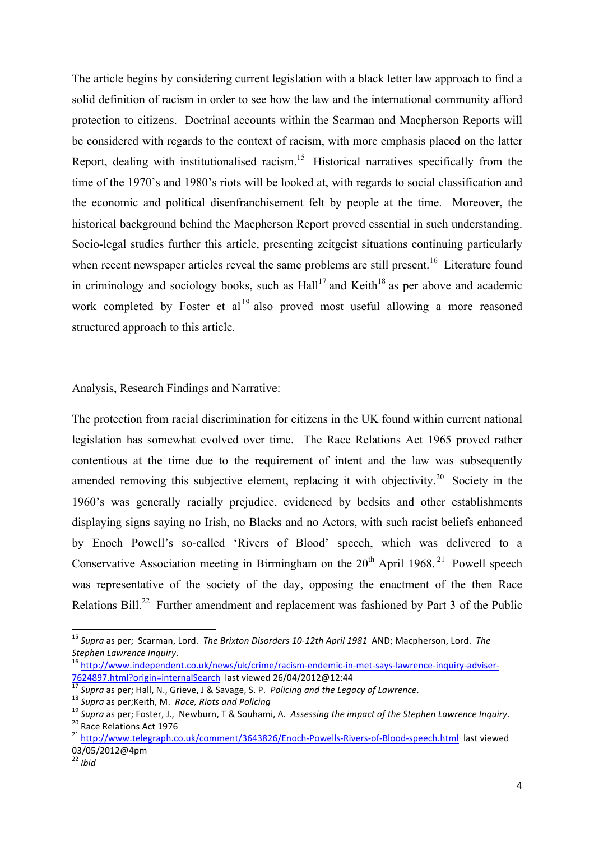The article begins by considering current legislation with a black letter law approach to find a solid definition of racism in order to see how the law and the international community afford protection to citizens. Doctrinal accounts within the Scarman and Macpherson Reports will be considered with regards to the context of racism, with more emphasis placed on the latter Report, dealing with institutionalised racism.<sup>15</sup> Historical narratives specifically from the time of the 1970's and 1980's riots will be looked at, with regards to social classification and the economic and political disenfranchisement felt by people at the time. Moreover, the historical background behind the Macpherson Report proved essential in such understanding. Socio-legal studies further this article, presenting zeitgeist situations continuing particularly when recent newspaper articles reveal the same problems are still present.<sup>16</sup> Literature found in criminology and sociology books, such as  $\text{Hall}^{17}$  and Keith<sup>18</sup> as per above and academic work completed by Foster et al<sup>19</sup> also proved most useful allowing a more reasoned structured approach to this article.

Analysis, Research Findings and Narrative:

The protection from racial discrimination for citizens in the UK found within current national legislation has somewhat evolved over time. The Race Relations Act 1965 proved rather contentious at the time due to the requirement of intent and the law was subsequently amended removing this subjective element, replacing it with objectivity.<sup>20</sup> Society in the 1960's was generally racially prejudice, evidenced by bedsits and other establishments displaying signs saying no Irish, no Blacks and no Actors, with such racist beliefs enhanced by Enoch Powell's so-called 'Rivers of Blood' speech, which was delivered to a Conservative Association meeting in Birmingham on the  $20<sup>th</sup>$  April 1968.<sup>21</sup> Powell speech was representative of the society of the day, opposing the enactment of the then Race Relations Bill.<sup>22</sup> Further amendment and replacement was fashioned by Part 3 of the Public

<sup>&</sup>lt;sup>15</sup> Supra as per; Scarman, Lord. The Brixton Disorders 10-12th April 1981 AND; Macpherson, Lord. The *Stephen Lawrence Inquiry*.<br><sup>16</sup> http://www.independent.co.uk/news/uk/crime/racism-endemic-in-met-says-lawrence-inquiry-adviser-

<sup>7624897.</sup>html?origin=internalSearch last viewed 26/04/2012@12:44<br>
<sup>17</sup> Supra as per; Hall, N., Grieve, J & Savage, S. P. *Policing and the Legacy of Lawrence*.<br>
<sup>18</sup> Supra as per;Keith, M. *Race, Riots and Policing*<br>
<sup>19</sup> S

<sup>03/05/2012@4</sup>pm

 $\frac{22}{1}$ *ibid*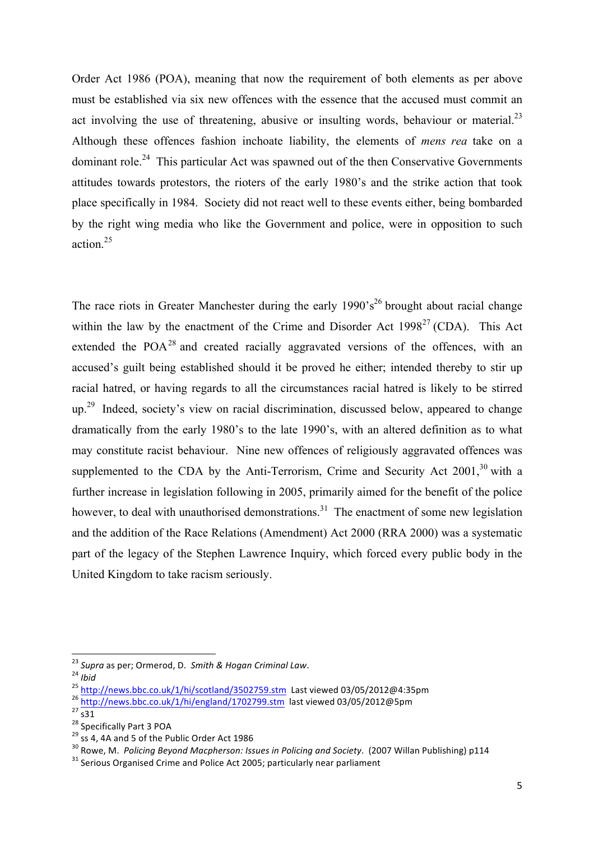Order Act 1986 (POA), meaning that now the requirement of both elements as per above must be established via six new offences with the essence that the accused must commit an act involving the use of threatening, abusive or insulting words, behaviour or material.<sup>23</sup> Although these offences fashion inchoate liability, the elements of *mens rea* take on a dominant role.<sup>24</sup> This particular Act was spawned out of the then Conservative Governments attitudes towards protestors, the rioters of the early 1980's and the strike action that took place specifically in 1984. Society did not react well to these events either, being bombarded by the right wing media who like the Government and police, were in opposition to such action<sup>25</sup>

The race riots in Greater Manchester during the early  $1990 \text{°s}^{26}$  brought about racial change within the law by the enactment of the Crime and Disorder Act  $1998<sup>27</sup>$  (CDA). This Act extended the  $POA<sup>28</sup>$  and created racially aggravated versions of the offences, with an accused's guilt being established should it be proved he either; intended thereby to stir up racial hatred, or having regards to all the circumstances racial hatred is likely to be stirred up.29 Indeed, society's view on racial discrimination, discussed below, appeared to change dramatically from the early 1980's to the late 1990's, with an altered definition as to what may constitute racist behaviour. Nine new offences of religiously aggravated offences was supplemented to the CDA by the Anti-Terrorism, Crime and Security Act  $2001$ ,<sup>30</sup> with a further increase in legislation following in 2005, primarily aimed for the benefit of the police however, to deal with unauthorised demonstrations.<sup>31</sup> The enactment of some new legislation and the addition of the Race Relations (Amendment) Act 2000 (RRA 2000) was a systematic part of the legacy of the Stephen Lawrence Inquiry, which forced every public body in the United Kingdom to take racism seriously.

<sup>&</sup>lt;sup>23</sup> Supra as per; Ormerod, D. Smith & Hogan Criminal Law.

<sup>24</sup> bid<br>
25 http://news.bbc.co.uk/1/hi/scotland/3502759.stm\_Last viewed 03/05/2012@4:35pm<br>
26 http://news.bbc.co.uk/1/hi/scotland/3502759.stm\_Last viewed 03/05/2012@4:35pm<br>
27 s31<br>
28 Specifically Part 3 POA<br>
<sup>28</sup> Ss 4, 4A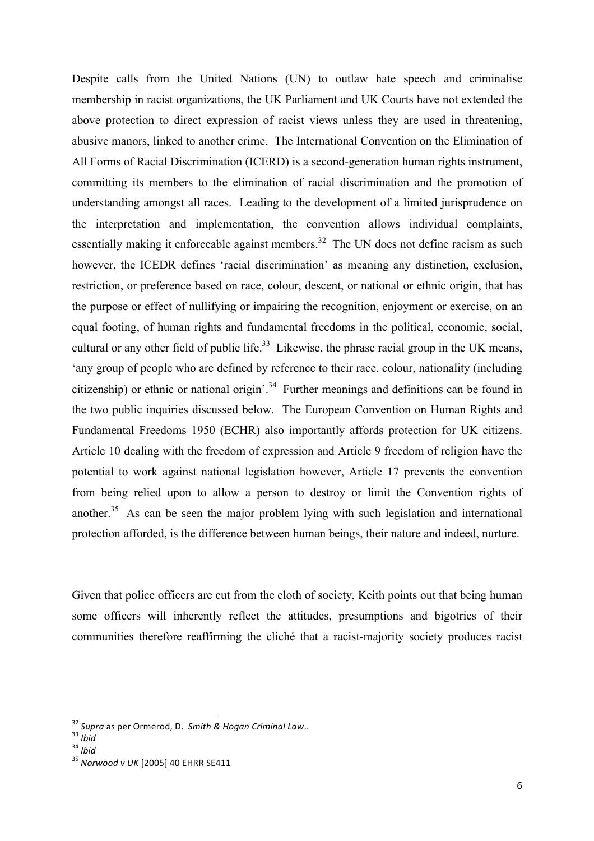Despite calls from the United Nations (UN) to outlaw hate speech and criminalise membership in racist organizations, the UK Parliament and UK Courts have not extended the above protection to direct expression of racist views unless they are used in threatening, abusive manors, linked to another crime. The International Convention on the Elimination of All Forms of Racial Discrimination (ICERD) is a second-generation human rights instrument, committing its members to the elimination of racial discrimination and the promotion of understanding amongst all races. Leading to the development of a limited jurisprudence on the interpretation and implementation, the convention allows individual complaints, essentially making it enforceable against members.<sup>32</sup> The UN does not define racism as such however, the ICEDR defines 'racial discrimination' as meaning any distinction, exclusion, restriction, or preference based on race, colour, descent, or national or ethnic origin, that has the purpose or effect of nullifying or impairing the recognition, enjoyment or exercise, on an equal footing, of human rights and fundamental freedoms in the political, economic, social, cultural or any other field of public life.<sup>33</sup> Likewise, the phrase racial group in the UK means, 'any group of people who are defined by reference to their race, colour, nationality (including citizenship) or ethnic or national origin'.<sup>34</sup> Further meanings and definitions can be found in the two public inquiries discussed below. The European Convention on Human Rights and Fundamental Freedoms 1950 (ECHR) also importantly affords protection for UK citizens. Article 10 dealing with the freedom of expression and Article 9 freedom of religion have the potential to work against national legislation however, Article 17 prevents the convention from being relied upon to allow a person to destroy or limit the Convention rights of another.<sup>35</sup> As can be seen the major problem lying with such legislation and international protection afforded, is the difference between human beings, their nature and indeed, nurture.

Given that police officers are cut from the cloth of society, Keith points out that being human some officers will inherently reflect the attitudes, presumptions and bigotries of their communities therefore reaffirming the cliché that a racist-majority society produces racist

<sup>&</sup>lt;sup>32</sup> *Supra* as per Ormerod, D. *Smith & Hogan Criminal Law..*<br><sup>33</sup> *Ibid*<br><sup>35</sup> *Norwood v* UK [2005] 40 EHRR SE411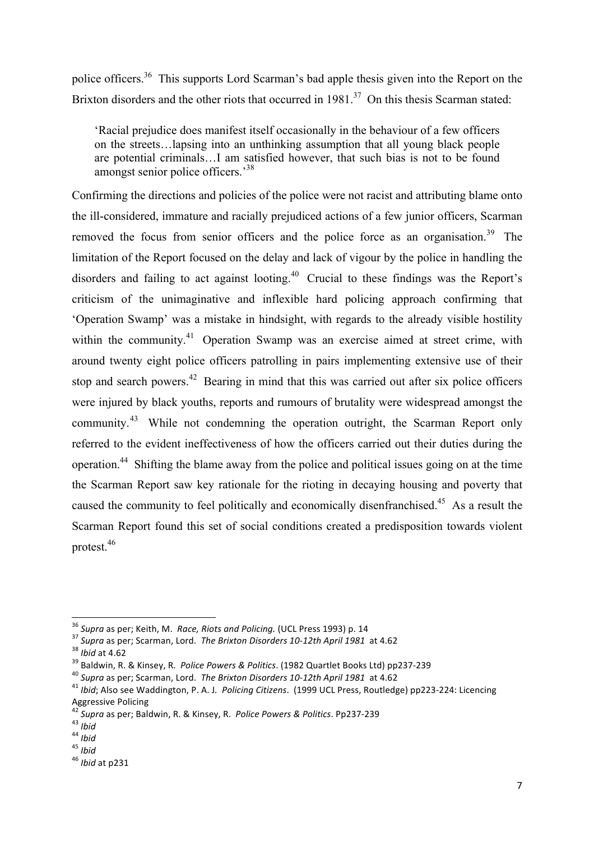police officers.<sup>36</sup> This supports Lord Scarman's bad apple thesis given into the Report on the Brixton disorders and the other riots that occurred in 1981.<sup>37</sup> On this thesis Scarman stated:

'Racial prejudice does manifest itself occasionally in the behaviour of a few officers on the streets…lapsing into an unthinking assumption that all young black people are potential criminals…I am satisfied however, that such bias is not to be found amongst senior police officers.<sup>38</sup>

Confirming the directions and policies of the police were not racist and attributing blame onto the ill-considered, immature and racially prejudiced actions of a few junior officers, Scarman removed the focus from senior officers and the police force as an organisation.<sup>39</sup> The limitation of the Report focused on the delay and lack of vigour by the police in handling the disorders and failing to act against looting.40 Crucial to these findings was the Report's criticism of the unimaginative and inflexible hard policing approach confirming that 'Operation Swamp' was a mistake in hindsight, with regards to the already visible hostility within the community.<sup>41</sup> Operation Swamp was an exercise aimed at street crime, with around twenty eight police officers patrolling in pairs implementing extensive use of their stop and search powers.<sup>42</sup> Bearing in mind that this was carried out after six police officers were injured by black youths, reports and rumours of brutality were widespread amongst the community.<sup>43</sup> While not condemning the operation outright, the Scarman Report only referred to the evident ineffectiveness of how the officers carried out their duties during the operation. 44 Shifting the blame away from the police and political issues going on at the time the Scarman Report saw key rationale for the rioting in decaying housing and poverty that caused the community to feel politically and economically disenfranchised.<sup>45</sup> As a result the Scarman Report found this set of social conditions created a predisposition towards violent protest<sup>46</sup>

<sup>&</sup>lt;sup>36</sup> Supra as per: Keith, M. Race, Riots and Policing. (UCL Press 1993) p. 14

<sup>&</sup>lt;sup>37</sup> Supra as per; Scarman, Lord. The Brixton Disorders 10-12th April 1981 at 4.62<br><sup>38</sup> Ibid at 4.62<br><sup>39</sup> Baldwin, R. & Kinsey, R. *Police Powers & Politics*. (1982 Quartlet Books Ltd) pp237-239<br><sup>40</sup> Supra as per; Scarman Aggressive Policing<br>42 C

<sup>&</sup>lt;sup>42</sup> Supra as per; Baldwin, R. & Kinsey, R. *Police Powers & Politics*. Pp237-239<br><sup>43</sup> *Ibid*<br><sup>44</sup> *Ibid*<br><sup>45</sup> *Ibid* at p231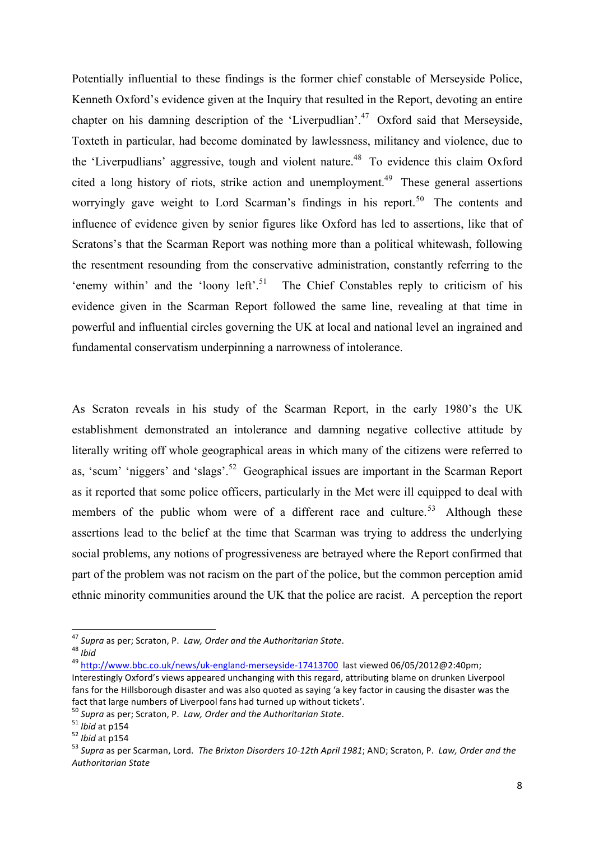Potentially influential to these findings is the former chief constable of Merseyside Police, Kenneth Oxford's evidence given at the Inquiry that resulted in the Report, devoting an entire chapter on his damning description of the 'Liverpudlian'.<sup>47</sup> Oxford said that Merseyside, Toxteth in particular, had become dominated by lawlessness, militancy and violence, due to the 'Liverpudlians' aggressive, tough and violent nature.<sup>48</sup> To evidence this claim Oxford cited a long history of riots, strike action and unemployment.<sup>49</sup> These general assertions worryingly gave weight to Lord Scarman's findings in his report.<sup>50</sup> The contents and influence of evidence given by senior figures like Oxford has led to assertions, like that of Scratons's that the Scarman Report was nothing more than a political whitewash, following the resentment resounding from the conservative administration, constantly referring to the 'enemy within' and the 'loony left'.<sup>51</sup> The Chief Constables reply to criticism of his evidence given in the Scarman Report followed the same line, revealing at that time in powerful and influential circles governing the UK at local and national level an ingrained and fundamental conservatism underpinning a narrowness of intolerance.

As Scraton reveals in his study of the Scarman Report, in the early 1980's the UK establishment demonstrated an intolerance and damning negative collective attitude by literally writing off whole geographical areas in which many of the citizens were referred to as, 'scum' 'niggers' and 'slags'.<sup>52</sup> Geographical issues are important in the Scarman Report as it reported that some police officers, particularly in the Met were ill equipped to deal with members of the public whom were of a different race and culture.<sup>53</sup> Although these assertions lead to the belief at the time that Scarman was trying to address the underlying social problems, any notions of progressiveness are betrayed where the Report confirmed that part of the problem was not racism on the part of the police, but the common perception amid ethnic minority communities around the UK that the police are racist. A perception the report

<sup>&</sup>lt;sup>47</sup> Supra as per: Scraton, P. Law, Order and the Authoritarian State.

<sup>48</sup> *Ibid*<br><sup>48</sup> *Ibid* http://www.bbc.co.uk/news/uk-england-merseyside-17413700 last viewed 06/05/2012@2:40pm; Interestingly Oxford's views appeared unchanging with this regard, attributing blame on drunken Liverpool fans for the Hillsborough disaster and was also quoted as saying 'a key factor in causing the disaster was the fact that large numbers of Liverpool fans had turned up without tickets'.<br><sup>50</sup> Supra as per; Scraton, P. *Law, Order and the Authoritarian State*.<br><sup>51</sup> Ibid at p154<br><sup>52</sup> Ibid at p154<br><sup>53</sup> Supra as per Scarman, Lord. *The B* 

*Authoritarian State*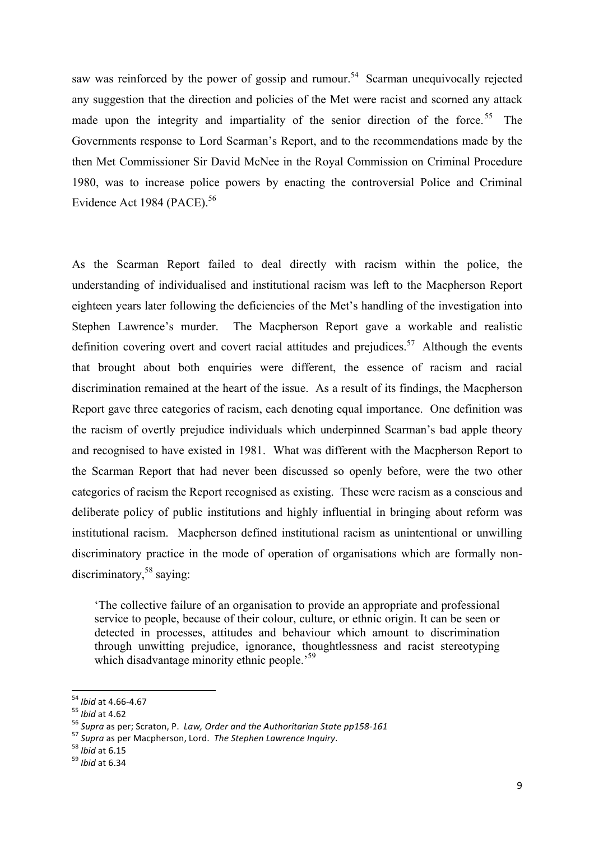saw was reinforced by the power of gossip and rumour.<sup>54</sup> Scarman unequivocally rejected any suggestion that the direction and policies of the Met were racist and scorned any attack made upon the integrity and impartiality of the senior direction of the force.<sup>55</sup> The Governments response to Lord Scarman's Report, and to the recommendations made by the then Met Commissioner Sir David McNee in the Royal Commission on Criminal Procedure 1980, was to increase police powers by enacting the controversial Police and Criminal Evidence Act 1984 (PACE).<sup>56</sup>

As the Scarman Report failed to deal directly with racism within the police, the understanding of individualised and institutional racism was left to the Macpherson Report eighteen years later following the deficiencies of the Met's handling of the investigation into Stephen Lawrence's murder. The Macpherson Report gave a workable and realistic definition covering overt and covert racial attitudes and prejudices.<sup>57</sup> Although the events that brought about both enquiries were different, the essence of racism and racial discrimination remained at the heart of the issue. As a result of its findings, the Macpherson Report gave three categories of racism, each denoting equal importance. One definition was the racism of overtly prejudice individuals which underpinned Scarman's bad apple theory and recognised to have existed in 1981. What was different with the Macpherson Report to the Scarman Report that had never been discussed so openly before, were the two other categories of racism the Report recognised as existing. These were racism as a conscious and deliberate policy of public institutions and highly influential in bringing about reform was institutional racism. Macpherson defined institutional racism as unintentional or unwilling discriminatory practice in the mode of operation of organisations which are formally nondiscriminatory,  $58$  saying:

'The collective failure of an organisation to provide an appropriate and professional service to people, because of their colour, culture, or ethnic origin. It can be seen or detected in processes, attitudes and behaviour which amount to discrimination through unwitting prejudice, ignorance, thoughtlessness and racist stereotyping which disadvantage minority ethnic people.<sup>59</sup>

<sup>&</sup>lt;sup>54</sup> Ibid at 4.66-4.67

<sup>&</sup>lt;sup>55</sup> Ibid at 4.62<br><sup>56</sup> Supra as per; Scraton, P. *Law, Order and the Authoritarian State pp158-161*<br><sup>57</sup> Supra as per Macpherson, Lord. *The Stephen Lawrence Inquiry*.<br><sup>58</sup> Ibid at 6.15<br><sup>59</sup> Ibid at 6.34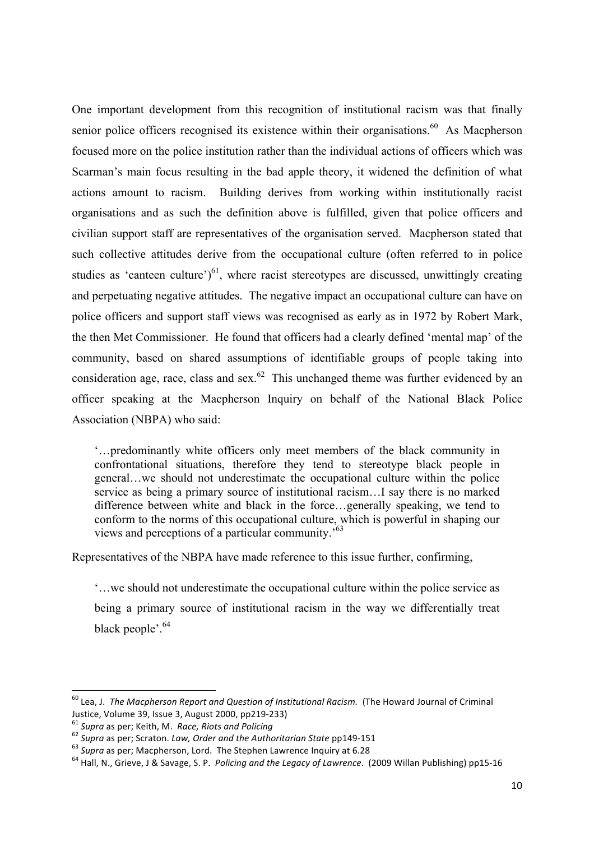One important development from this recognition of institutional racism was that finally senior police officers recognised its existence within their organisations.<sup>60</sup> As Macpherson focused more on the police institution rather than the individual actions of officers which was Scarman's main focus resulting in the bad apple theory, it widened the definition of what actions amount to racism. Building derives from working within institutionally racist organisations and as such the definition above is fulfilled, given that police officers and civilian support staff are representatives of the organisation served. Macpherson stated that such collective attitudes derive from the occupational culture (often referred to in police studies as 'canteen culture') $^{61}$ , where racist stereotypes are discussed, unwittingly creating and perpetuating negative attitudes. The negative impact an occupational culture can have on police officers and support staff views was recognised as early as in 1972 by Robert Mark, the then Met Commissioner. He found that officers had a clearly defined 'mental map' of the community, based on shared assumptions of identifiable groups of people taking into consideration age, race, class and sex.<sup>62</sup> This unchanged theme was further evidenced by an officer speaking at the Macpherson Inquiry on behalf of the National Black Police Association (NBPA) who said:

'…predominantly white officers only meet members of the black community in confrontational situations, therefore they tend to stereotype black people in general…we should not underestimate the occupational culture within the police service as being a primary source of institutional racism…I say there is no marked difference between white and black in the force…generally speaking, we tend to conform to the norms of this occupational culture, which is powerful in shaping our views and perceptions of a particular community.'63

Representatives of the NBPA have made reference to this issue further, confirming,

'…we should not underestimate the occupational culture within the police service as being a primary source of institutional racism in the way we differentially treat black people'.<sup>64</sup>

<sup>&</sup>lt;sup>60</sup> Lea, J. The Macpherson Report and Question of Institutional Racism. (The Howard Journal of Criminal Justice, Volume 39, Issue 3, August 2000, pp219-233)<br><sup>61</sup> Supra as per; Keith, M. *Race, Riots and Policing*<br><sup>62</sup> Supra as per; Scraton. *Law, Order and the Authoritarian State* pp149-151<br><sup>63</sup> Supra as per; Macpherson, Lor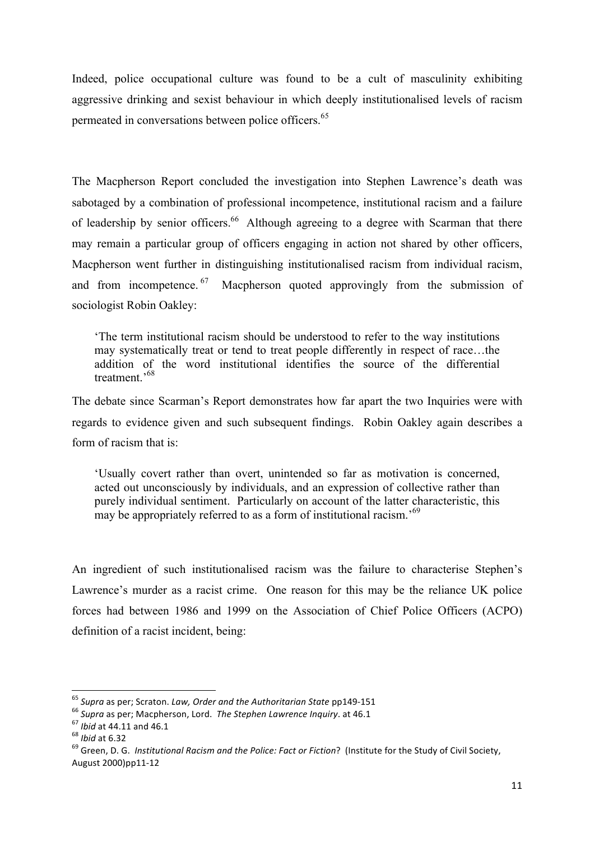Indeed, police occupational culture was found to be a cult of masculinity exhibiting aggressive drinking and sexist behaviour in which deeply institutionalised levels of racism permeated in conversations between police officers.<sup>65</sup>

The Macpherson Report concluded the investigation into Stephen Lawrence's death was sabotaged by a combination of professional incompetence, institutional racism and a failure of leadership by senior officers.<sup>66</sup> Although agreeing to a degree with Scarman that there may remain a particular group of officers engaging in action not shared by other officers, Macpherson went further in distinguishing institutionalised racism from individual racism, and from incompetence.<sup>67</sup> Macpherson quoted approvingly from the submission of sociologist Robin Oakley:

'The term institutional racism should be understood to refer to the way institutions may systematically treat or tend to treat people differently in respect of race…the addition of the word institutional identifies the source of the differential treatment<sup>,68</sup>

The debate since Scarman's Report demonstrates how far apart the two Inquiries were with regards to evidence given and such subsequent findings. Robin Oakley again describes a form of racism that is:

'Usually covert rather than overt, unintended so far as motivation is concerned, acted out unconsciously by individuals, and an expression of collective rather than purely individual sentiment. Particularly on account of the latter characteristic, this may be appropriately referred to as a form of institutional racism.<sup>'69</sup>

An ingredient of such institutionalised racism was the failure to characterise Stephen's Lawrence's murder as a racist crime. One reason for this may be the reliance UK police forces had between 1986 and 1999 on the Association of Chief Police Officers (ACPO) definition of a racist incident, being:

 $^{65}$  Supra as per; Scraton. Law, Order and the Authoritarian State pp149-151

<sup>&</sup>lt;sup>66</sup> Supra as per; Macpherson, Lord. *The Stephen Lawrence Inquiry*. at 46.1<br><sup>67</sup> Ibid at 44.11 and 46.1<br><sup>68</sup> Ibid at 6.32<br><sup>68</sup> Green, D. G. *Institutional Racism and the Police: Fact or Fiction*? (Institute for the Study August 2000)pp11-12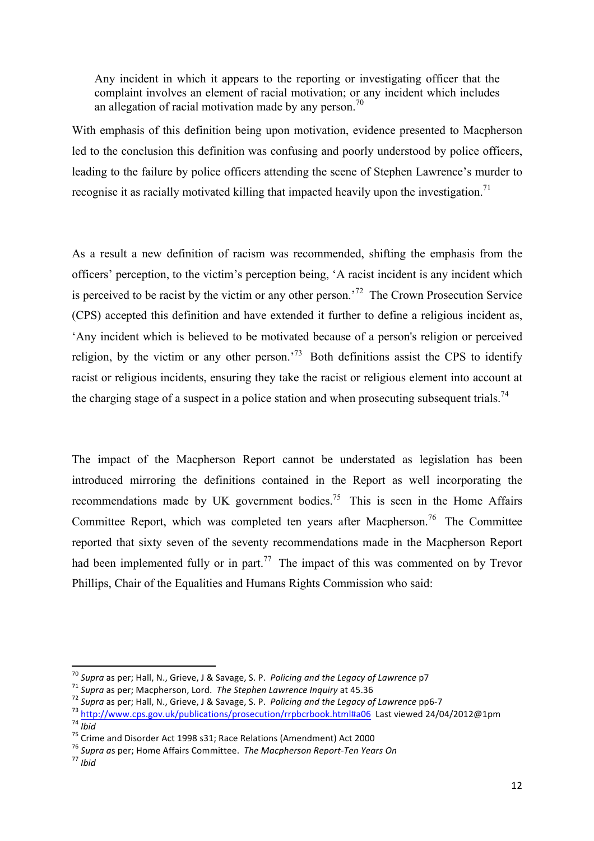Any incident in which it appears to the reporting or investigating officer that the complaint involves an element of racial motivation; or any incident which includes an allegation of racial motivation made by any person.<sup>70</sup>

With emphasis of this definition being upon motivation, evidence presented to Macpherson led to the conclusion this definition was confusing and poorly understood by police officers, leading to the failure by police officers attending the scene of Stephen Lawrence's murder to recognise it as racially motivated killing that impacted heavily upon the investigation.<sup>71</sup>

As a result a new definition of racism was recommended, shifting the emphasis from the officers' perception, to the victim's perception being, 'A racist incident is any incident which is perceived to be racist by the victim or any other person.<sup>72</sup> The Crown Prosecution Service (CPS) accepted this definition and have extended it further to define a religious incident as, 'Any incident which is believed to be motivated because of a person's religion or perceived religion, by the victim or any other person.<sup>73</sup> Both definitions assist the CPS to identify racist or religious incidents, ensuring they take the racist or religious element into account at the charging stage of a suspect in a police station and when prosecuting subsequent trials.<sup>74</sup>

The impact of the Macpherson Report cannot be understated as legislation has been introduced mirroring the definitions contained in the Report as well incorporating the recommendations made by UK government bodies.<sup>75</sup> This is seen in the Home Affairs Committee Report, which was completed ten years after Macpherson.<sup>76</sup> The Committee reported that sixty seven of the seventy recommendations made in the Macpherson Report had been implemented fully or in part.<sup>77</sup> The impact of this was commented on by Trevor Phillips, Chair of the Equalities and Humans Rights Commission who said:

<sup>&</sup>lt;sup>70</sup> Supra as per; Hall, N., Grieve, J & Savage, S. P. Policing and the Legacy of Lawrence p7

<sup>&</sup>lt;sup>71</sup> Supra as per; Macpherson, Lord. The Stephen Lawrence Inquiry at 45.36<br><sup>72</sup> Supra as per; Hall, N., Grieve, J & Savage, S. P. *Policing and the Legacy of Lawrence* pp6-7<br><sup>73</sup> http://www.cps.gov.uk/publications/prosecu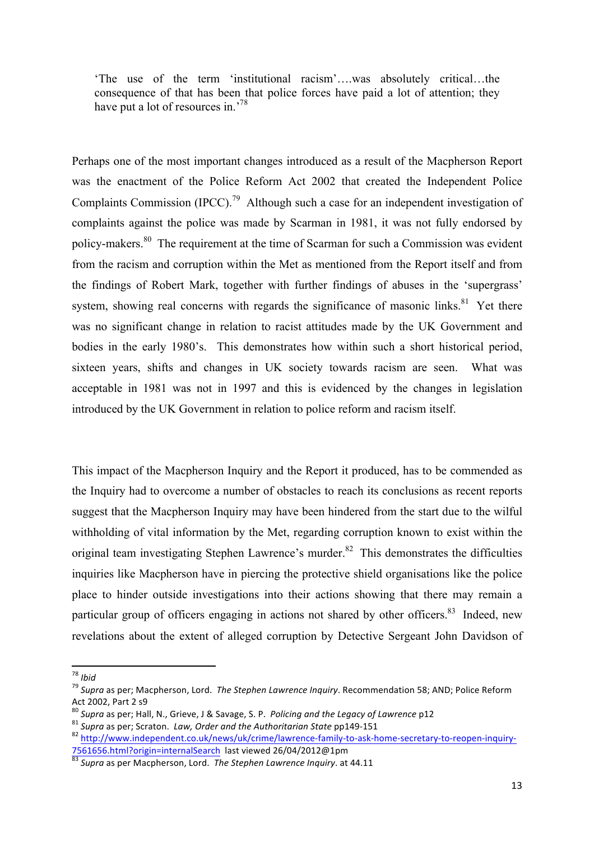'The use of the term 'institutional racism'….was absolutely critical…the consequence of that has been that police forces have paid a lot of attention; they have put a lot of resources in.<sup>78</sup>

Perhaps one of the most important changes introduced as a result of the Macpherson Report was the enactment of the Police Reform Act 2002 that created the Independent Police Complaints Commission (IPCC).<sup>79</sup> Although such a case for an independent investigation of complaints against the police was made by Scarman in 1981, it was not fully endorsed by policy-makers.80 The requirement at the time of Scarman for such a Commission was evident from the racism and corruption within the Met as mentioned from the Report itself and from the findings of Robert Mark, together with further findings of abuses in the 'supergrass' system, showing real concerns with regards the significance of masonic links.<sup>81</sup> Yet there was no significant change in relation to racist attitudes made by the UK Government and bodies in the early 1980's. This demonstrates how within such a short historical period, sixteen years, shifts and changes in UK society towards racism are seen. What was acceptable in 1981 was not in 1997 and this is evidenced by the changes in legislation introduced by the UK Government in relation to police reform and racism itself.

This impact of the Macpherson Inquiry and the Report it produced, has to be commended as the Inquiry had to overcome a number of obstacles to reach its conclusions as recent reports suggest that the Macpherson Inquiry may have been hindered from the start due to the wilful withholding of vital information by the Met, regarding corruption known to exist within the original team investigating Stephen Lawrence's murder.<sup>82</sup> This demonstrates the difficulties inquiries like Macpherson have in piercing the protective shield organisations like the police place to hinder outside investigations into their actions showing that there may remain a particular group of officers engaging in actions not shared by other officers.<sup>83</sup> Indeed, new revelations about the extent of alleged corruption by Detective Sergeant John Davidson of

<sup>&</sup>lt;sup>78</sup> *Ibid*<br><sup>79</sup> Supra as per; Macpherson, Lord. The Stephen Lawrence Inquiry. Recommendation 58; AND; Police Reform Act 2002, Part 2 s9<br>
<sup>80</sup> Supra as per; Hall, N., Grieve, J & Savage, S. P. Policing and the Legacy of Lawrence p12

 $81$  Supra as per; Scraton. Law, Order and the Authoritarian State pp149-151<br> $82$  http://www.independent.co.uk/news/uk/crime/lawrence-family-to-ask-home-secretary-to-reopen-inquiry-7561656.html?origin=internalSearch last viewed 26/04/2012@1pm 83<br> *Supra* as per Macpherson, Lord. The Stephen Lawrence Inquiry. at 44.11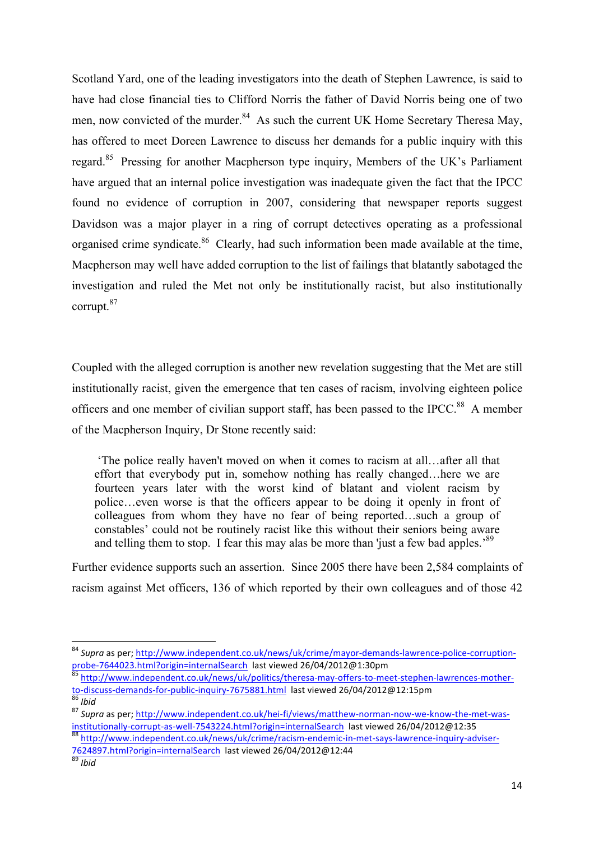Scotland Yard, one of the leading investigators into the death of Stephen Lawrence, is said to have had close financial ties to Clifford Norris the father of David Norris being one of two men, now convicted of the murder.<sup>84</sup> As such the current UK Home Secretary Theresa May, has offered to meet Doreen Lawrence to discuss her demands for a public inquiry with this regard.85 Pressing for another Macpherson type inquiry, Members of the UK's Parliament have argued that an internal police investigation was inadequate given the fact that the IPCC found no evidence of corruption in 2007, considering that newspaper reports suggest Davidson was a major player in a ring of corrupt detectives operating as a professional organised crime syndicate.<sup>86</sup> Clearly, had such information been made available at the time, Macpherson may well have added corruption to the list of failings that blatantly sabotaged the investigation and ruled the Met not only be institutionally racist, but also institutionally corrupt.87

Coupled with the alleged corruption is another new revelation suggesting that the Met are still institutionally racist, given the emergence that ten cases of racism, involving eighteen police officers and one member of civilian support staff, has been passed to the IPCC.<sup>88</sup> A member of the Macpherson Inquiry, Dr Stone recently said:

'The police really haven't moved on when it comes to racism at all…after all that effort that everybody put in, somehow nothing has really changed…here we are fourteen years later with the worst kind of blatant and violent racism by police…even worse is that the officers appear to be doing it openly in front of colleagues from whom they have no fear of being reported…such a group of constables' could not be routinely racist like this without their seniors being aware and telling them to stop. I fear this may alas be more than 'just a few bad apples.<sup>89</sup>

Further evidence supports such an assertion. Since 2005 there have been 2,584 complaints of racism against Met officers, 136 of which reported by their own colleagues and of those 42

 

<sup>&</sup>lt;sup>84</sup> Supra as per: http://www.independent.co.uk/news/uk/crime/mayor-demands-lawrence-police-corruptionprobe-7644023.html?origin=internalSearch last viewed 26/04/2012@1:30pm<br><sup>85</sup> http://www.independent.co.uk/news/uk/politics/theresa-may-offers-to-meet-stephen-lawrences-mother-

to-discuss-demands-for-public-inquiry-7675881.html last viewed 26/04/2012@12:15pm<br>
<sup>86</sup> *Ibid* 87 *Supra* as per; http://www.independent.co.uk/hei-fi/views/matthew-norman-now-we-know-the-met-was-<br>
<sup>87</sup> *Supra* as per; http

institutionally-corrupt-as-well-7543224.html?origin=internalSearch last viewed 26/04/2012@12:35<br><sup>88</sup> http://www.independent.co.uk/news/uk/crime/racism-endemic-in-met-says-lawrence-inquiry-adviser-

<sup>7624897.</sup>html?origin=internalSearch last viewed 26/04/2012@12:44 *Ibid*<br>*ast bid*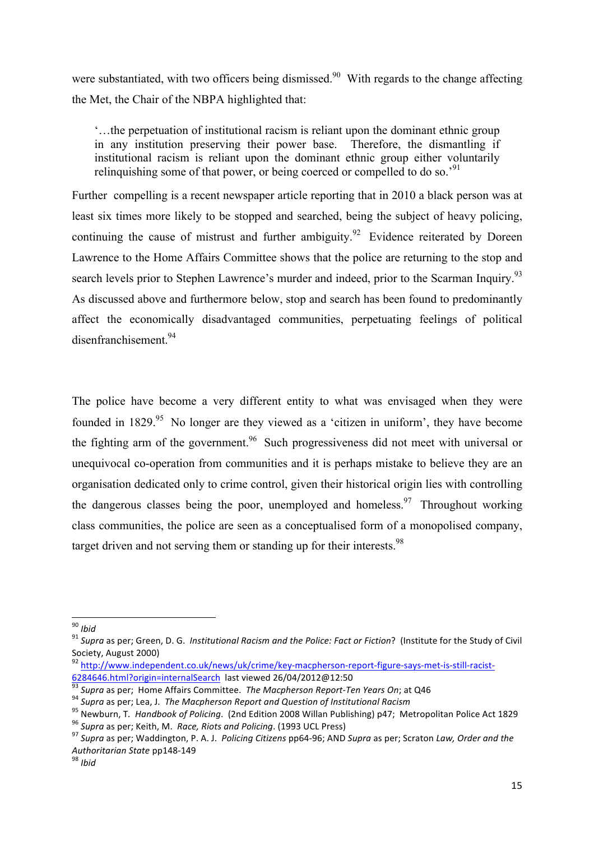were substantiated, with two officers being dismissed.<sup>90</sup> With regards to the change affecting the Met, the Chair of the NBPA highlighted that:

'…the perpetuation of institutional racism is reliant upon the dominant ethnic group in any institution preserving their power base. Therefore, the dismantling if institutional racism is reliant upon the dominant ethnic group either voluntarily relinguishing some of that power, or being coerced or compelled to do so.<sup>'91</sup>

Further compelling is a recent newspaper article reporting that in 2010 a black person was at least six times more likely to be stopped and searched, being the subject of heavy policing, continuing the cause of mistrust and further ambiguity.<sup>92</sup> Evidence reiterated by Doreen Lawrence to the Home Affairs Committee shows that the police are returning to the stop and search levels prior to Stephen Lawrence's murder and indeed, prior to the Scarman Inquiry.<sup>93</sup> As discussed above and furthermore below, stop and search has been found to predominantly affect the economically disadvantaged communities, perpetuating feelings of political disenfranchisement.94

The police have become a very different entity to what was envisaged when they were founded in 1829.<sup>95</sup> No longer are they viewed as a 'citizen in uniform', they have become the fighting arm of the government.<sup>96</sup> Such progressiveness did not meet with universal or unequivocal co-operation from communities and it is perhaps mistake to believe they are an organisation dedicated only to crime control, given their historical origin lies with controlling the dangerous classes being the poor, unemployed and homeless.<sup>97</sup> Throughout working class communities, the police are seen as a conceptualised form of a monopolised company, target driven and not serving them or standing up for their interests.<sup>98</sup>

<sup>&</sup>lt;sup>90</sup> *Ibid*<br><sup>91</sup> Supra as per; Green, D. G. *Institutional Racism and the Police: Fact or Fiction*? (Institute for the Study of Civil Society, August 2000)

<sup>92&</sup>lt;br>http://www.independent.co.uk/news/uk/crime/key-macpherson-report-figure-says-met-is-still-racist-<br>6284646.html?origin=internalSearch last viewed 26/04/2012@12:50

<sup>&</sup>lt;sup>93</sup> Supra as per; Home Affairs Committee. *The Macpherson Report-Ten Years On*; at Q46<br><sup>94</sup> Supra as per; Lea, J. *The Macpherson Report and Question of Institutional Racism*<br><sup>95</sup> Newburn, T. *Handbook of Policing*. (2nd

*Authoritarian State* pp148-149 <sup>98</sup> *Ibid*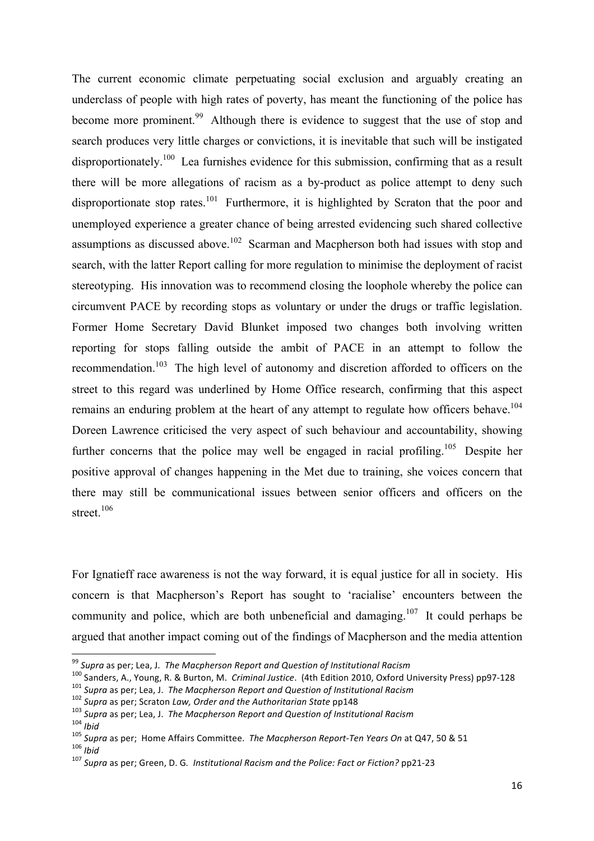The current economic climate perpetuating social exclusion and arguably creating an underclass of people with high rates of poverty, has meant the functioning of the police has become more prominent.<sup>99</sup> Although there is evidence to suggest that the use of stop and search produces very little charges or convictions, it is inevitable that such will be instigated disproportionately.<sup>100</sup> Lea furnishes evidence for this submission, confirming that as a result there will be more allegations of racism as a by-product as police attempt to deny such disproportionate stop rates.<sup>101</sup> Furthermore, it is highlighted by Scraton that the poor and unemployed experience a greater chance of being arrested evidencing such shared collective assumptions as discussed above.<sup>102</sup> Scarman and Macpherson both had issues with stop and search, with the latter Report calling for more regulation to minimise the deployment of racist stereotyping. His innovation was to recommend closing the loophole whereby the police can circumvent PACE by recording stops as voluntary or under the drugs or traffic legislation. Former Home Secretary David Blunket imposed two changes both involving written reporting for stops falling outside the ambit of PACE in an attempt to follow the recommendation.<sup>103</sup> The high level of autonomy and discretion afforded to officers on the street to this regard was underlined by Home Office research, confirming that this aspect remains an enduring problem at the heart of any attempt to regulate how officers behave.<sup>104</sup> Doreen Lawrence criticised the very aspect of such behaviour and accountability, showing further concerns that the police may well be engaged in racial profiling.<sup>105</sup> Despite her positive approval of changes happening in the Met due to training, she voices concern that there may still be communicational issues between senior officers and officers on the street. $106$ 

For Ignatieff race awareness is not the way forward, it is equal justice for all in society. His concern is that Macpherson's Report has sought to 'racialise' encounters between the community and police, which are both unbeneficial and damaging.<sup>107</sup> It could perhaps be argued that another impact coming out of the findings of Macpherson and the media attention

<sup>&</sup>lt;sup>99</sup> Supra as per; Lea, J. The Macpherson Report and Question of Institutional Racism

<sup>&</sup>lt;sup>100</sup> Sanders, A., Young, R. & Burton, M. Criminal Justice. (4th Edition 2010, Oxford University Press) pp97-128<br><sup>101</sup> Supra as per; Lea, J. The Macpherson Report and Question of Institutional Racism<br><sup>102</sup> Supra as per; S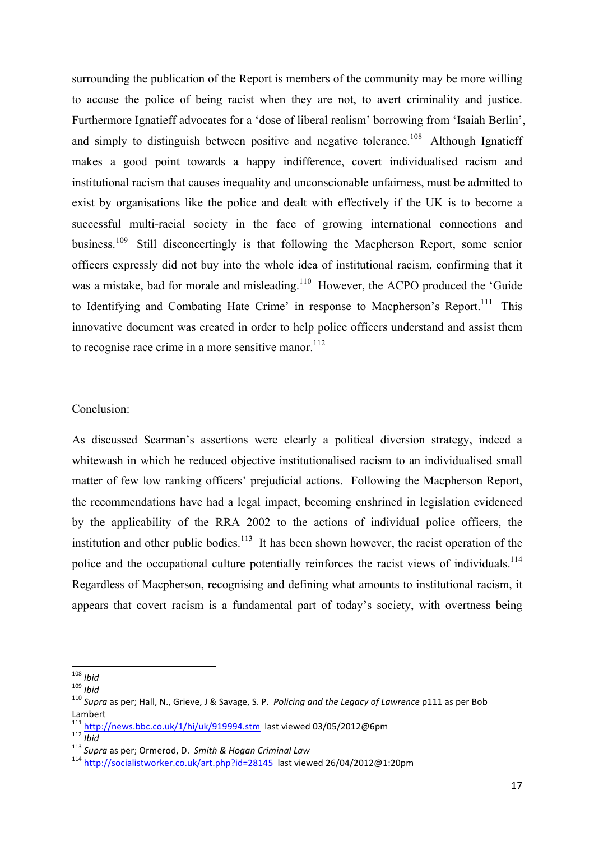surrounding the publication of the Report is members of the community may be more willing to accuse the police of being racist when they are not, to avert criminality and justice. Furthermore Ignatieff advocates for a 'dose of liberal realism' borrowing from 'Isaiah Berlin', and simply to distinguish between positive and negative tolerance.<sup>108</sup> Although Ignatieff makes a good point towards a happy indifference, covert individualised racism and institutional racism that causes inequality and unconscionable unfairness, must be admitted to exist by organisations like the police and dealt with effectively if the UK is to become a successful multi-racial society in the face of growing international connections and business.<sup>109</sup> Still disconcertingly is that following the Macpherson Report, some senior officers expressly did not buy into the whole idea of institutional racism, confirming that it was a mistake, bad for morale and misleading.<sup>110</sup> However, the ACPO produced the 'Guide to Identifying and Combating Hate Crime' in response to Macpherson's Report.<sup>111</sup> This innovative document was created in order to help police officers understand and assist them to recognise race crime in a more sensitive manor.<sup>112</sup>

## Conclusion:

As discussed Scarman's assertions were clearly a political diversion strategy, indeed a whitewash in which he reduced objective institutionalised racism to an individualised small matter of few low ranking officers' prejudicial actions. Following the Macpherson Report, the recommendations have had a legal impact, becoming enshrined in legislation evidenced by the applicability of the RRA 2002 to the actions of individual police officers, the institution and other public bodies.<sup>113</sup> It has been shown however, the racist operation of the police and the occupational culture potentially reinforces the racist views of individuals.<sup>114</sup> Regardless of Macpherson, recognising and defining what amounts to institutional racism, it appears that covert racism is a fundamental part of today's society, with overtness being

<sup>&</sup>lt;u> 1989 - Johann Stein, fransk politiker (d. 1989)</u>

<sup>108</sup> *Ibid*<br><sup>108</sup> *Ibid*<br><sup>110</sup> *Supra* as per; Hall, N., Grieve, J & Savage, S. P. Policing and the Legacy of Lawrence p111 as per Bob Lambert<br><sup>111</sup> http://news.bbc.co.uk/1/hi/uk/919994.stm last viewed 03/05/2012@6pm

 $\frac{112}{112}$ Supra as per; Ormerod, D. Smith & Hogan Criminal Law<br>  $\frac{113}{114}$  http://socialistworker.co.uk/art.php?id=28145 last viewed 26/04/2012@1:20pm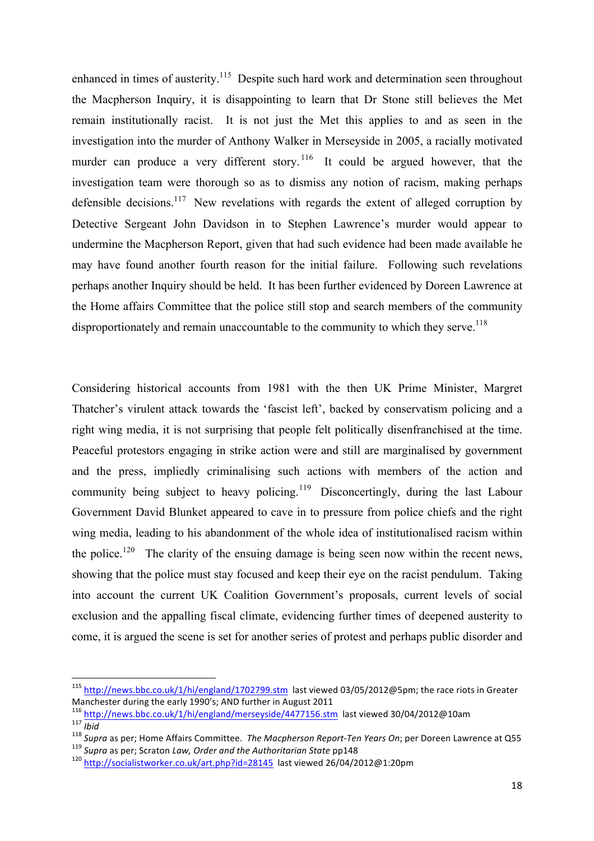enhanced in times of austerity.<sup>115</sup> Despite such hard work and determination seen throughout the Macpherson Inquiry, it is disappointing to learn that Dr Stone still believes the Met remain institutionally racist. It is not just the Met this applies to and as seen in the investigation into the murder of Anthony Walker in Merseyside in 2005, a racially motivated murder can produce a very different story.<sup>116</sup> It could be argued however, that the investigation team were thorough so as to dismiss any notion of racism, making perhaps defensible decisions.<sup>117</sup> New revelations with regards the extent of alleged corruption by Detective Sergeant John Davidson in to Stephen Lawrence's murder would appear to undermine the Macpherson Report, given that had such evidence had been made available he may have found another fourth reason for the initial failure. Following such revelations perhaps another Inquiry should be held. It has been further evidenced by Doreen Lawrence at the Home affairs Committee that the police still stop and search members of the community disproportionately and remain unaccountable to the community to which they serve.<sup>118</sup>

Considering historical accounts from 1981 with the then UK Prime Minister, Margret Thatcher's virulent attack towards the 'fascist left', backed by conservatism policing and a right wing media, it is not surprising that people felt politically disenfranchised at the time. Peaceful protestors engaging in strike action were and still are marginalised by government and the press, impliedly criminalising such actions with members of the action and community being subject to heavy policing.<sup>119</sup> Disconcertingly, during the last Labour Government David Blunket appeared to cave in to pressure from police chiefs and the right wing media, leading to his abandonment of the whole idea of institutionalised racism within the police.<sup>120</sup> The clarity of the ensuing damage is being seen now within the recent news, showing that the police must stay focused and keep their eye on the racist pendulum. Taking into account the current UK Coalition Government's proposals, current levels of social exclusion and the appalling fiscal climate, evidencing further times of deepened austerity to come, it is argued the scene is set for another series of protest and perhaps public disorder and

 

 $115$  http://news.bbc.co.uk/1/hi/england/1702799.stm last viewed 03/05/2012@5pm; the race riots in Greater Manchester during the early 1990's; AND further in August 2011

<sup>&</sup>lt;sup>116</sup> http://news.bbc.co.uk/1/hi/england/merseyside/4477156.stm last viewed 30/04/2012@10am<br><sup>117</sup> lbid<br><sup>118</sup> Supra as per; Home Affairs Committee. *The Macpherson Report-Ten Years On*; per Doreen Lawrence at Q55<br><sup>119</sup> Sup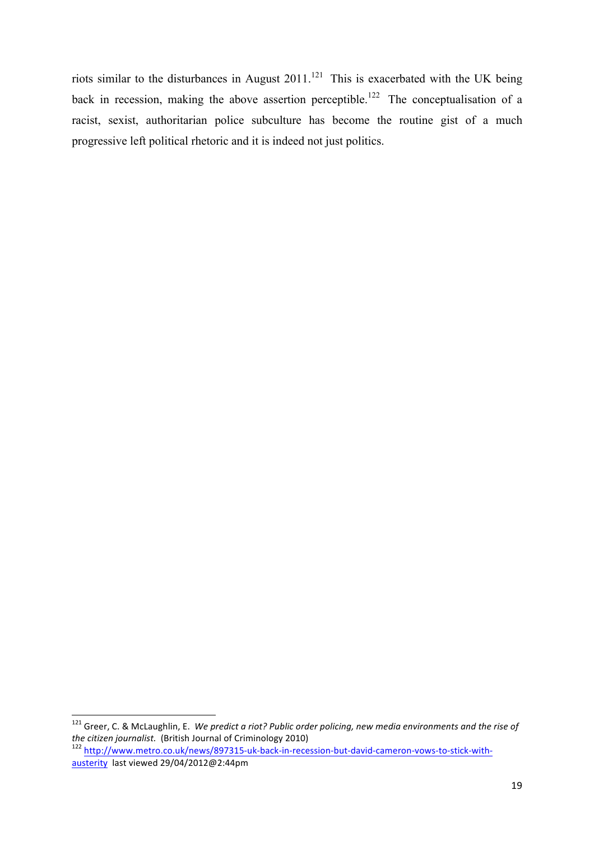riots similar to the disturbances in August  $2011$ .<sup>121</sup> This is exacerbated with the UK being back in recession, making the above assertion perceptible.<sup>122</sup> The conceptualisation of a racist, sexist, authoritarian police subculture has become the routine gist of a much progressive left political rhetoric and it is indeed not just politics.

<sup>&</sup>lt;sup>121</sup> Greer, C. & McLaughlin, E. We predict a riot? Public order policing, new media environments and the rise of the citizen journalist. (British Journal of Criminology 2010)

<sup>&</sup>lt;sup>122</sup> http://www.metro.co.uk/news/897315-uk-back-in-recession-but-david-cameron-vows-to-stick-withausterity last viewed 29/04/2012@2:44pm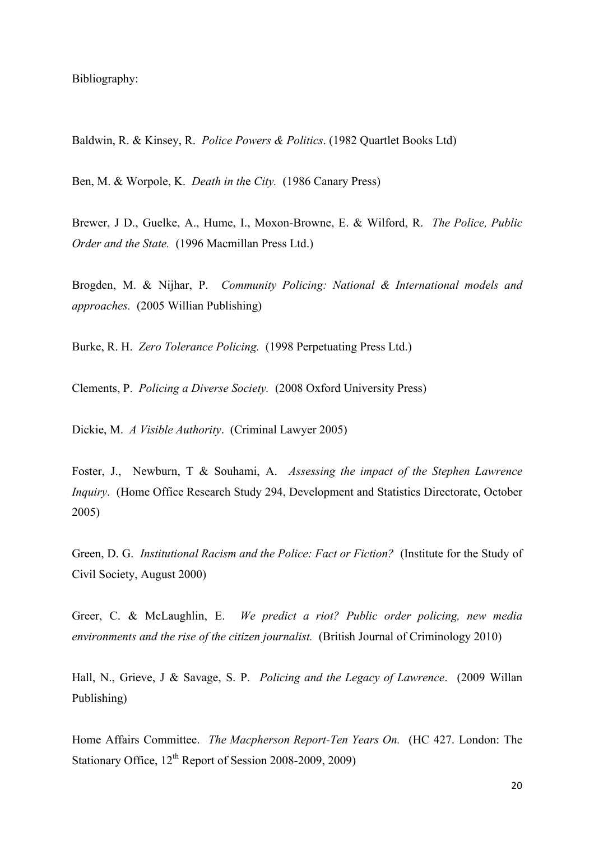Bibliography:

Baldwin, R. & Kinsey, R. *Police Powers & Politics*. (1982 Quartlet Books Ltd)

Ben, M. & Worpole, K. *Death in th*e *City.* (1986 Canary Press)

Brewer, J D., Guelke, A., Hume, I., Moxon-Browne, E. & Wilford, R. *The Police, Public Order and the State.* (1996 Macmillan Press Ltd.)

Brogden, M. & Nijhar, P. *Community Policing: National & International models and approaches.* (2005 Willian Publishing)

Burke, R. H. *Zero Tolerance Policing.* (1998 Perpetuating Press Ltd.)

Clements, P. *Policing a Diverse Society.* (2008 Oxford University Press)

Dickie, M. *A Visible Authority*. (Criminal Lawyer 2005)

Foster, J., Newburn, T & Souhami, A. *Assessing the impact of the Stephen Lawrence Inquiry*. (Home Office Research Study 294, Development and Statistics Directorate, October 2005)

Green, D. G. *Institutional Racism and the Police: Fact or Fiction?* (Institute for the Study of Civil Society, August 2000)

Greer, C. & McLaughlin, E. *We predict a riot? Public order policing, new media environments and the rise of the citizen journalist.* (British Journal of Criminology 2010)

Hall, N., Grieve, J & Savage, S. P. *Policing and the Legacy of Lawrence*. (2009 Willan Publishing)

Home Affairs Committee. *The Macpherson Report-Ten Years On.* (HC 427. London: The Stationary Office, 12<sup>th</sup> Report of Session 2008-2009, 2009)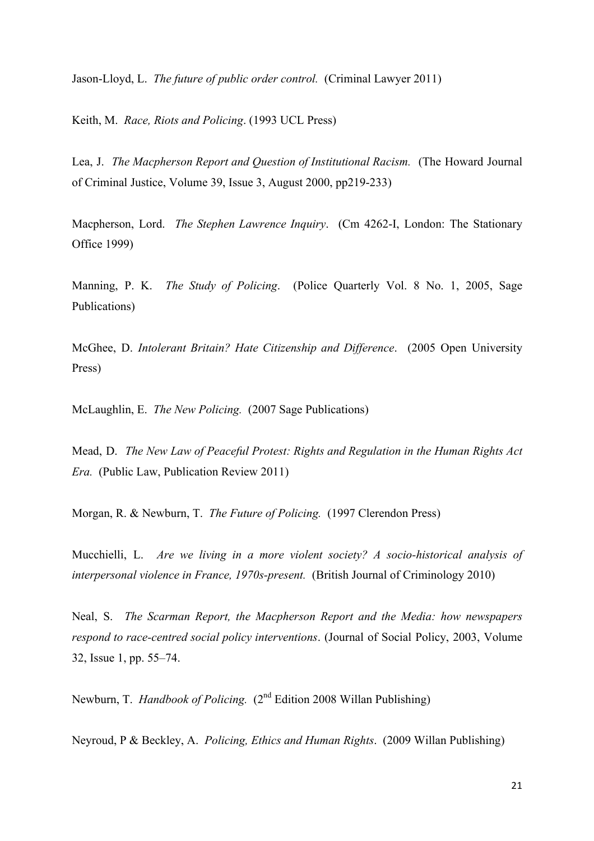Jason-Lloyd, L. *The future of public order control.* (Criminal Lawyer 2011)

Keith, M. *Race, Riots and Policing*. (1993 UCL Press)

Lea, J. *The Macpherson Report and Question of Institutional Racism.* (The Howard Journal of Criminal Justice, Volume 39, Issue 3, August 2000, pp219-233)

Macpherson, Lord. *The Stephen Lawrence Inquiry*. (Cm 4262-I, London: The Stationary Office 1999)

Manning, P. K. *The Study of Policing*. (Police Quarterly Vol. 8 No. 1, 2005, Sage Publications)

McGhee, D. *Intolerant Britain? Hate Citizenship and Difference*. (2005 Open University Press)

McLaughlin, E. *The New Policing.* (2007 Sage Publications)

Mead, D. *The New Law of Peaceful Protest: Rights and Regulation in the Human Rights Act Era.* (Public Law, Publication Review 2011)

Morgan, R. & Newburn, T. *The Future of Policing.* (1997 Clerendon Press)

Mucchielli, L. *Are we living in a more violent society? A socio-historical analysis of interpersonal violence in France, 1970s-present.* (British Journal of Criminology 2010)

Neal, S. *The Scarman Report, the Macpherson Report and the Media: how newspapers respond to race-centred social policy interventions*. (Journal of Social Policy, 2003, Volume 32, Issue 1, pp. 55–74.

Newburn, T. *Handbook of Policing.* (2<sup>nd</sup> Edition 2008 Willan Publishing)

Neyroud, P & Beckley, A. *Policing, Ethics and Human Rights*. (2009 Willan Publishing)